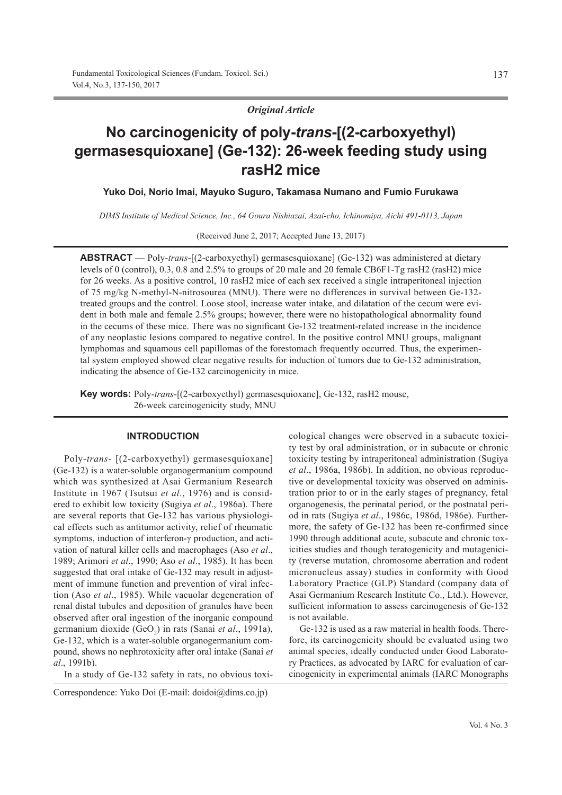*Original Article*

# **No carcinogenicity of poly-***trans***-[(2-carboxyethyl) germasesquioxane] (Ge-132): 26-week feeding study using rasH2 mice**

**Yuko Doi, Norio Imai, Mayuko Suguro, Takamasa Numano and Fumio Furukawa**

*DIMS Institute of Medical Science, Inc., 64 Goura Nishiazai, Azai-cho, Ichinomiya, Aichi 491-0113, Japan*

(Received June 2, 2017; Accepted June 13, 2017)

**ABSTRACT** — Poly-*trans*-[(2-carboxyethyl) germasesquioxane] (Ge-132) was administered at dietary levels of 0 (control), 0.3, 0.8 and 2.5% to groups of 20 male and 20 female CB6F1-Tg rasH2 (rasH2) mice for 26 weeks. As a positive control, 10 rasH2 mice of each sex received a single intraperitoneal injection of 75 mg/kg N-methyl-N-nitrosourea (MNU). There were no differences in survival between Ge-132 treated groups and the control. Loose stool, increase water intake, and dilatation of the cecum were evident in both male and female 2.5% groups; however, there were no histopathological abnormality found in the cecums of these mice. There was no significant Ge-132 treatment-related increase in the incidence of any neoplastic lesions compared to negative control. In the positive control MNU groups, malignant lymphomas and squamous cell papillomas of the forestomach frequently occurred. Thus, the experimental system employed showed clear negative results for induction of tumors due to Ge-132 administration, indicating the absence of Ge-132 carcinogenicity in mice.

**Key words:** Poly-*trans*-[(2-carboxyethyl) germasesquioxane], Ge-132, rasH2 mouse, 26-week carcinogenicity study, MNU

## **INTRODUCTION**

Poly-*trans*- [(2-carboxyethyl) germasesquioxane] (Ge-132) is a water-soluble organogermanium compound which was synthesized at Asai Germanium Research Institute in 1967 (Tsutsui *et al*., 1976) and is considered to exhibit low toxicity (Sugiya *et al*., 1986a). There are several reports that Ge-132 has various physiological effects such as antitumor activity, relief of rheumatic symptoms, induction of interferon-γ production, and activation of natural killer cells and macrophages (Aso *et al*., 1989; Arimori *et al*., 1990; Aso *et al*., 1985). It has been suggested that oral intake of Ge-132 may result in adjustment of immune function and prevention of viral infection (Aso *et al*., 1985). While vacuolar degeneration of renal distal tubules and deposition of granules have been observed after oral ingestion of the inorganic compound germanium dioxide (GeO<sub>2</sub>) in rats (Sanai et al., 1991a), Ge-132, which is a water-soluble organogermanium compound, shows no nephrotoxicity after oral intake (Sanai *et al*., 1991b).

In a study of Ge-132 safety in rats, no obvious toxi-

cological changes were observed in a subacute toxicity test by oral administration, or in subacute or chronic toxicity testing by intraperitoneal administration (Sugiya *et al*., 1986a, 1986b). In addition, no obvious reproductive or developmental toxicity was observed on administration prior to or in the early stages of pregnancy, fetal organogenesis, the perinatal period, or the postnatal period in rats (Sugiya *et al*., 1986c, 1986d, 1986e). Furthermore, the safety of Ge-132 has been re-confirmed since 1990 through additional acute, subacute and chronic toxicities studies and though teratogenicity and mutagenicity (reverse mutation, chromosome aberration and rodent micronucleus assay) studies in conformity with Good Laboratory Practice (GLP) Standard (company data of Asai Germanium Research Institute Co., Ltd.). However, sufficient information to assess carcinogenesis of Ge-132 is not available.

Ge-132 is used as a raw material in health foods. Therefore, its carcinogenicity should be evaluated using two animal species, ideally conducted under Good Laboratory Practices, as advocated by IARC for evaluation of carcinogenicity in experimental animals (IARC Monographs

Correspondence: Yuko Doi (E-mail: doidoi@dims.co.jp)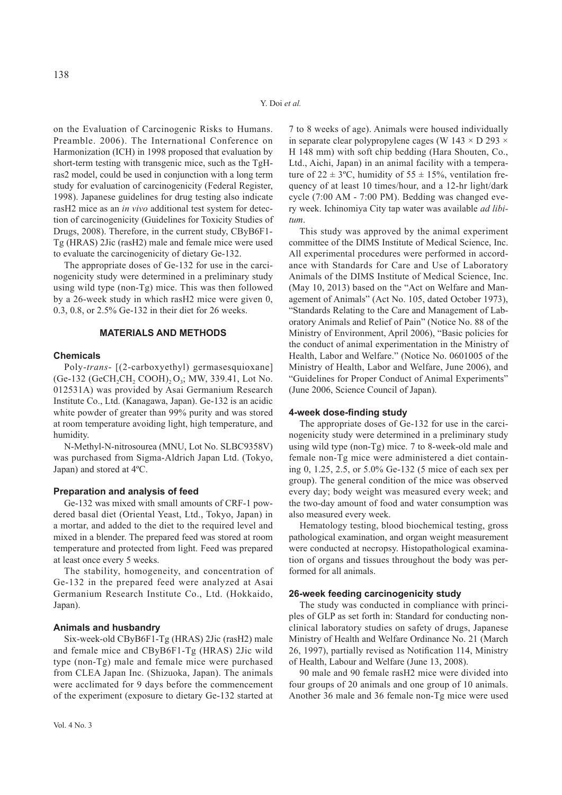on the Evaluation of Carcinogenic Risks to Humans. Preamble. 2006). The International Conference on Harmonization (ICH) in 1998 proposed that evaluation by short-term testing with transgenic mice, such as the TgHras2 model, could be used in conjunction with a long term study for evaluation of carcinogenicity (Federal Register, 1998). Japanese guidelines for drug testing also indicate rasH2 mice as an *in vivo* additional test system for detection of carcinogenicity (Guidelines for Toxicity Studies of Drugs, 2008). Therefore, in the current study, CByB6F1- Tg (HRAS) 2Jic (rasH2) male and female mice were used to evaluate the carcinogenicity of dietary Ge-132.

The appropriate doses of Ge-132 for use in the carcinogenicity study were determined in a preliminary study using wild type (non-Tg) mice. This was then followed by a 26-week study in which rasH2 mice were given 0, 0.3, 0.8, or 2.5% Ge-132 in their diet for 26 weeks.

## **MATERIALS AND METHODS**

# **Chemicals**

Poly-*trans*- [(2-carboxyethyl) germasesquioxane]  $(Ge-132 \text{ (GeCH,CH, COOH)}, O<sub>3</sub>; MW, 339.41, Lot No.$ 012531A) was provided by Asai Germanium Research Institute Co., Ltd. (Kanagawa, Japan). Ge-132 is an acidic white powder of greater than 99% purity and was stored at room temperature avoiding light, high temperature, and humidity.

N-Methyl-N-nitrosourea (MNU, Lot No. SLBC9358V) was purchased from Sigma-Aldrich Japan Ltd. (Tokyo, Japan) and stored at 4ºC.

#### **Preparation and analysis of feed**

Ge-132 was mixed with small amounts of CRF-1 powdered basal diet (Oriental Yeast, Ltd., Tokyo, Japan) in a mortar, and added to the diet to the required level and mixed in a blender. The prepared feed was stored at room temperature and protected from light. Feed was prepared at least once every 5 weeks.

The stability, homogeneity, and concentration of Ge-132 in the prepared feed were analyzed at Asai Germanium Research Institute Co., Ltd. (Hokkaido, Japan).

#### **Animals and husbandry**

Six-week-old CByB6F1-Tg (HRAS) 2Jic (rasH2) male and female mice and CByB6F1-Tg (HRAS) 2Jic wild type (non-Tg) male and female mice were purchased from CLEA Japan Inc. (Shizuoka, Japan). The animals were acclimated for 9 days before the commencement of the experiment (exposure to dietary Ge-132 started at 7 to 8 weeks of age). Animals were housed individually in separate clear polypropylene cages (W 143  $\times$  D 293  $\times$ H 148 mm) with soft chip bedding (Hara Shouten, Co., Ltd., Aichi, Japan) in an animal facility with a temperature of  $22 \pm 3$ °C, humidity of  $55 \pm 15$ %, ventilation frequency of at least 10 times/hour, and a 12-hr light/dark cycle (7:00 AM - 7:00 PM). Bedding was changed every week. Ichinomiya City tap water was available *ad libitum*.

This study was approved by the animal experiment committee of the DIMS Institute of Medical Science, Inc. All experimental procedures were performed in accordance with Standards for Care and Use of Laboratory Animals of the DIMS Institute of Medical Science, Inc. (May 10, 2013) based on the "Act on Welfare and Management of Animals" (Act No. 105, dated October 1973), "Standards Relating to the Care and Management of Laboratory Animals and Relief of Pain" (Notice No. 88 of the Ministry of Environment, April 2006), "Basic policies for the conduct of animal experimentation in the Ministry of Health, Labor and Welfare." (Notice No. 0601005 of the Ministry of Health, Labor and Welfare, June 2006), and "Guidelines for Proper Conduct of Animal Experiments" (June 2006, Science Council of Japan).

#### **4-week dose-finding study**

The appropriate doses of Ge-132 for use in the carcinogenicity study were determined in a preliminary study using wild type (non-Tg) mice. 7 to 8-week-old male and female non-Tg mice were administered a diet containing 0, 1.25, 2.5, or 5.0% Ge-132 (5 mice of each sex per group). The general condition of the mice was observed every day; body weight was measured every week; and the two-day amount of food and water consumption was also measured every week.

Hematology testing, blood biochemical testing, gross pathological examination, and organ weight measurement were conducted at necropsy. Histopathological examination of organs and tissues throughout the body was performed for all animals.

## **26-week feeding carcinogenicity study**

The study was conducted in compliance with principles of GLP as set forth in: Standard for conducting nonclinical laboratory studies on safety of drugs, Japanese Ministry of Health and Welfare Ordinance No. 21 (March 26, 1997), partially revised as Notification 114, Ministry of Health, Labour and Welfare (June 13, 2008).

90 male and 90 female rasH2 mice were divided into four groups of 20 animals and one group of 10 animals. Another 36 male and 36 female non-Tg mice were used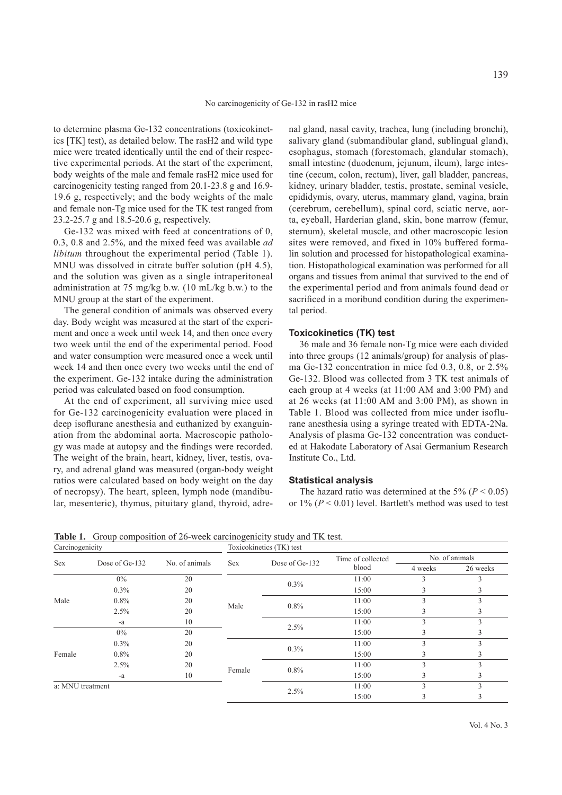to determine plasma Ge-132 concentrations (toxicokinetics [TK] test), as detailed below. The rasH2 and wild type mice were treated identically until the end of their respective experimental periods. At the start of the experiment, body weights of the male and female rasH2 mice used for carcinogenicity testing ranged from 20.1-23.8 g and 16.9- 19.6 g, respectively; and the body weights of the male and female non-Tg mice used for the TK test ranged from 23.2-25.7 g and 18.5-20.6 g, respectively.

Ge-132 was mixed with feed at concentrations of 0, 0.3, 0.8 and 2.5%, and the mixed feed was available *ad libitum* throughout the experimental period (Table 1). MNU was dissolved in citrate buffer solution (pH 4.5), and the solution was given as a single intraperitoneal administration at 75 mg/kg b.w. (10 mL/kg b.w.) to the MNU group at the start of the experiment.

The general condition of animals was observed every day. Body weight was measured at the start of the experiment and once a week until week 14, and then once every two week until the end of the experimental period. Food and water consumption were measured once a week until week 14 and then once every two weeks until the end of the experiment. Ge-132 intake during the administration period was calculated based on food consumption.

At the end of experiment, all surviving mice used for Ge-132 carcinogenicity evaluation were placed in deep isoflurane anesthesia and euthanized by exanguination from the abdominal aorta. Macroscopic pathology was made at autopsy and the findings were recorded. The weight of the brain, heart, kidney, liver, testis, ovary, and adrenal gland was measured (organ-body weight ratios were calculated based on body weight on the day of necropsy). The heart, spleen, lymph node (mandibular, mesenteric), thymus, pituitary gland, thyroid, adrenal gland, nasal cavity, trachea, lung (including bronchi), salivary gland (submandibular gland, sublingual gland), esophagus, stomach (forestomach, glandular stomach), small intestine (duodenum, jejunum, ileum), large intestine (cecum, colon, rectum), liver, gall bladder, pancreas, kidney, urinary bladder, testis, prostate, seminal vesicle, epididymis, ovary, uterus, mammary gland, vagina, brain (cerebrum, cerebellum), spinal cord, sciatic nerve, aorta, eyeball, Harderian gland, skin, bone marrow (femur, sternum), skeletal muscle, and other macroscopic lesion sites were removed, and fixed in 10% buffered formalin solution and processed for histopathological examination. Histopathological examination was performed for all organs and tissues from animal that survived to the end of the experimental period and from animals found dead or sacrificed in a moribund condition during the experimental period.

# **Toxicokinetics (TK) test**

36 male and 36 female non-Tg mice were each divided into three groups (12 animals/group) for analysis of plasma Ge-132 concentration in mice fed 0.3, 0.8, or 2.5% Ge-132. Blood was collected from 3 TK test animals of each group at 4 weeks (at 11:00 AM and 3:00 PM) and at 26 weeks (at 11:00 AM and 3:00 PM), as shown in Table 1. Blood was collected from mice under isoflurane anesthesia using a syringe treated with EDTA-2Na. Analysis of plasma Ge-132 concentration was conducted at Hakodate Laboratory of Asai Germanium Research Institute Co., Ltd.

## **Statistical analysis**

The hazard ratio was determined at the 5% ( $P < 0.05$ ) or  $1\%$  ( $P < 0.01$ ) level. Bartlett's method was used to test

**Table 1.** Group composition of 26-week carcinogenicity study and TK test.

| Carcinogenicity  |                |                |            | Toxicokinetics (TK) test |                   |         |                |
|------------------|----------------|----------------|------------|--------------------------|-------------------|---------|----------------|
| <b>Sex</b>       | Dose of Ge-132 | No. of animals | <b>Sex</b> | Dose of Ge-132           | Time of collected |         | No. of animals |
|                  |                |                |            |                          | blood             | 4 weeks | 26 weeks       |
|                  | $0\%$          | 20             |            | $0.3\%$                  | 11:00             |         |                |
|                  | $0.3\%$        | 20             |            |                          | 15:00             |         |                |
| Male             | $0.8\%$        | 20             | Male       | $0.8\%$                  | 11:00             | 3       | 3              |
|                  | 2.5%           | 20             |            |                          | 15:00             |         | 3              |
|                  | -a             | 10             |            |                          | 11:00             | 3       | 3              |
| Female           | $0\%$          | 20             |            | 2.5%                     | 15:00             |         |                |
|                  | $0.3\%$        | 20             |            | $0.3\%$                  | 11:00             |         | 3              |
|                  | $0.8\%$        | 20             |            |                          | 15:00             |         |                |
|                  | 2.5%           | 20             |            |                          | 11:00             | 3       | 3              |
|                  | -a             | 10             | Female     | $0.8\%$                  | 15:00             | 3       | 3              |
| a: MNU treatment |                |                |            |                          | 11:00             | 3       | 3              |
|                  |                |                |            | 2.5%                     | 15:00             |         | Ĵ.             |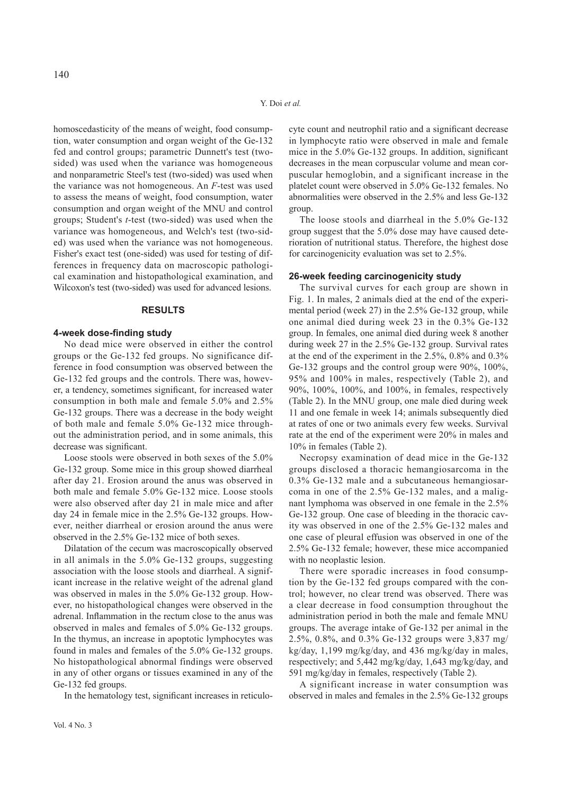homoscedasticity of the means of weight, food consumption, water consumption and organ weight of the Ge-132 fed and control groups; parametric Dunnett's test (twosided) was used when the variance was homogeneous and nonparametric Steel's test (two-sided) was used when the variance was not homogeneous. An *F*-test was used to assess the means of weight, food consumption, water consumption and organ weight of the MNU and control groups; Student's *t*-test (two-sided) was used when the variance was homogeneous, and Welch's test (two-sided) was used when the variance was not homogeneous. Fisher's exact test (one-sided) was used for testing of differences in frequency data on macroscopic pathological examination and histopathological examination, and Wilcoxon's test (two-sided) was used for advanced lesions.

## **RESULTS**

#### **4-week dose-finding study**

No dead mice were observed in either the control groups or the Ge-132 fed groups. No significance difference in food consumption was observed between the Ge-132 fed groups and the controls. There was, however, a tendency, sometimes significant, for increased water consumption in both male and female 5.0% and 2.5% Ge-132 groups. There was a decrease in the body weight of both male and female 5.0% Ge-132 mice throughout the administration period, and in some animals, this decrease was significant.

Loose stools were observed in both sexes of the 5.0% Ge-132 group. Some mice in this group showed diarrheal after day 21. Erosion around the anus was observed in both male and female 5.0% Ge-132 mice. Loose stools were also observed after day 21 in male mice and after day 24 in female mice in the 2.5% Ge-132 groups. However, neither diarrheal or erosion around the anus were observed in the 2.5% Ge-132 mice of both sexes.

Dilatation of the cecum was macroscopically observed in all animals in the 5.0% Ge-132 groups, suggesting association with the loose stools and diarrheal. A significant increase in the relative weight of the adrenal gland was observed in males in the 5.0% Ge-132 group. However, no histopathological changes were observed in the adrenal. Inflammation in the rectum close to the anus was observed in males and females of 5.0% Ge-132 groups. In the thymus, an increase in apoptotic lymphocytes was found in males and females of the 5.0% Ge-132 groups. No histopathological abnormal findings were observed in any of other organs or tissues examined in any of the Ge-132 fed groups.

In the hematology test, significant increases in reticulo-

cyte count and neutrophil ratio and a significant decrease in lymphocyte ratio were observed in male and female mice in the 5.0% Ge-132 groups. In addition, significant decreases in the mean corpuscular volume and mean corpuscular hemoglobin, and a significant increase in the platelet count were observed in 5.0% Ge-132 females. No abnormalities were observed in the 2.5% and less Ge-132 group.

The loose stools and diarrheal in the 5.0% Ge-132 group suggest that the 5.0% dose may have caused deterioration of nutritional status. Therefore, the highest dose for carcinogenicity evaluation was set to 2.5%.

#### **26-week feeding carcinogenicity study**

The survival curves for each group are shown in Fig. 1. In males, 2 animals died at the end of the experimental period (week 27) in the 2.5% Ge-132 group, while one animal died during week 23 in the 0.3% Ge-132 group. In females, one animal died during week 8 another during week 27 in the 2.5% Ge-132 group. Survival rates at the end of the experiment in the 2.5%, 0.8% and 0.3% Ge-132 groups and the control group were 90%, 100%, 95% and 100% in males, respectively (Table 2), and 90%, 100%, 100%, and 100%, in females, respectively (Table 2). In the MNU group, one male died during week 11 and one female in week 14; animals subsequently died at rates of one or two animals every few weeks. Survival rate at the end of the experiment were 20% in males and 10% in females (Table 2).

Necropsy examination of dead mice in the Ge-132 groups disclosed a thoracic hemangiosarcoma in the 0.3% Ge-132 male and a subcutaneous hemangiosarcoma in one of the 2.5% Ge-132 males, and a malignant lymphoma was observed in one female in the 2.5% Ge-132 group. One case of bleeding in the thoracic cavity was observed in one of the 2.5% Ge-132 males and one case of pleural effusion was observed in one of the 2.5% Ge-132 female; however, these mice accompanied with no neoplastic lesion.

There were sporadic increases in food consumption by the Ge-132 fed groups compared with the control; however, no clear trend was observed. There was a clear decrease in food consumption throughout the administration period in both the male and female MNU groups. The average intake of Ge-132 per animal in the 2.5%, 0.8%, and 0.3% Ge-132 groups were 3,837 mg/ kg/day, 1,199 mg/kg/day, and 436 mg/kg/day in males, respectively; and 5,442 mg/kg/day, 1,643 mg/kg/day, and 591 mg/kg/day in females, respectively (Table 2).

A significant increase in water consumption was observed in males and females in the 2.5% Ge-132 groups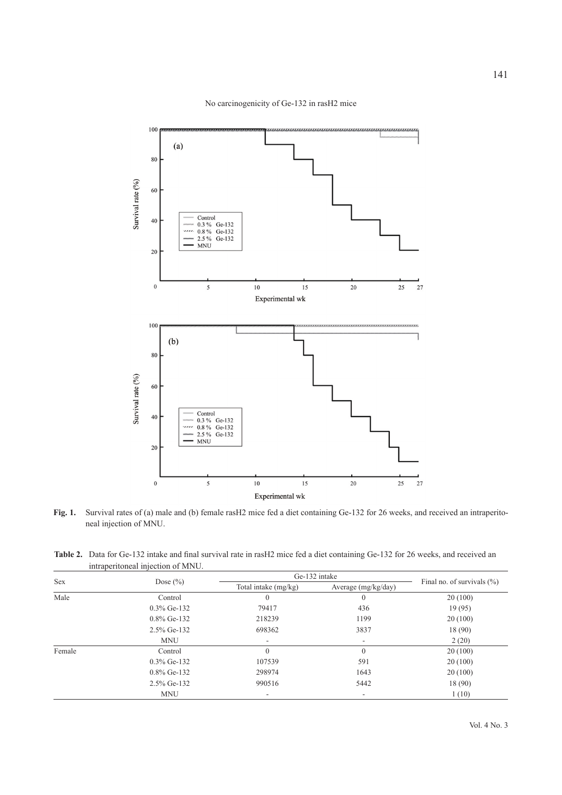

No carcinogenicity of Ge-132 in rasH2 mice

100

80



**Fig. 1.** Survival rates of (a) male and (b) female rasH2 mice fed a diet containing Ge-132 for 26 weeks, and received an intraperitoneal injection of MNU.

| Table 2. Data for Ge-132 intake and final survival rate in rash 2 mice fed a diet containing Ge-132 for 26 weeks, and received an |
|-----------------------------------------------------------------------------------------------------------------------------------|
| intraperitoneal injection of MNU.                                                                                                 |

| <b>Sex</b> |                |                      | Ge-132 intake            |                               |
|------------|----------------|----------------------|--------------------------|-------------------------------|
|            | Dose $(\% )$   | Total intake (mg/kg) | Average (mg/kg/day)      | Final no. of survivals $(\%)$ |
| Male       | Control        | $\theta$             | $\Omega$                 | 20(100)                       |
|            | $0.3\%$ Ge-132 | 79417                | 436                      | 19(95)                        |
|            | $0.8\%$ Ge-132 | 218239               | 1199                     | 20(100)                       |
|            | 2.5% Ge-132    | 698362               | 3837                     | 18(90)                        |
|            | <b>MNU</b>     |                      | $\overline{\phantom{a}}$ | 2(20)                         |
| Female     | Control        | $\theta$             | $\theta$                 | 20(100)                       |
|            | $0.3\%$ Ge-132 | 107539               | 591                      | 20(100)                       |
|            | $0.8\%$ Ge-132 | 298974               | 1643                     | 20(100)                       |
|            | $2.5\%$ Ge-132 | 990516               | 5442                     | 18(90)                        |
|            | <b>MNU</b>     |                      | ۰                        | 1(10)                         |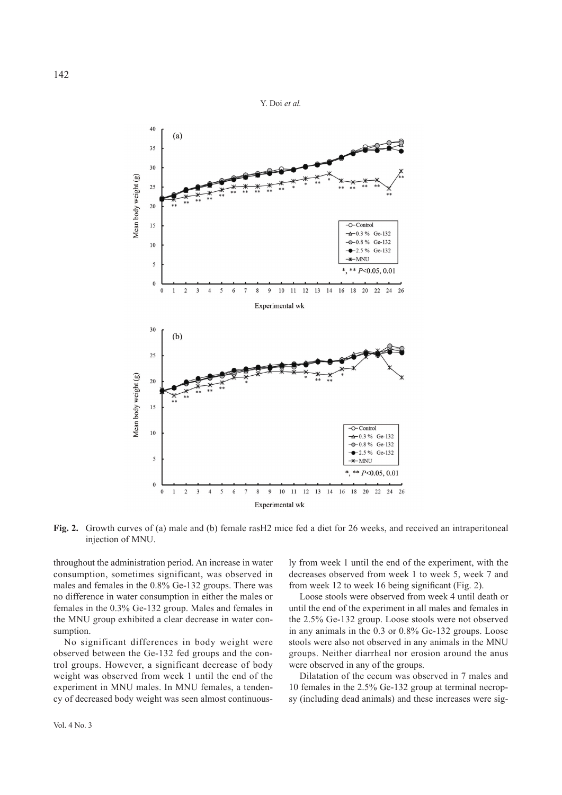

**Fig. 2.** Growth curves of (a) male and (b) female rasH2 mice fed a diet for 26 weeks, and received an intraperitoneal injection of MNU.

throughout the administration period. An increase in water consumption, sometimes significant, was observed in males and females in the 0.8% Ge-132 groups. There was no difference in water consumption in either the males or females in the 0.3% Ge-132 group. Males and females in the MNU group exhibited a clear decrease in water consumption.

No significant differences in body weight were observed between the Ge-132 fed groups and the control groups. However, a significant decrease of body weight was observed from week 1 until the end of the experiment in MNU males. In MNU females, a tendency of decreased body weight was seen almost continuously from week 1 until the end of the experiment, with the decreases observed from week 1 to week 5, week 7 and from week 12 to week 16 being significant (Fig. 2).

Loose stools were observed from week 4 until death or until the end of the experiment in all males and females in the 2.5% Ge-132 group. Loose stools were not observed in any animals in the 0.3 or 0.8% Ge-132 groups. Loose stools were also not observed in any animals in the MNU groups. Neither diarrheal nor erosion around the anus were observed in any of the groups.

Dilatation of the cecum was observed in 7 males and 10 females in the 2.5% Ge-132 group at terminal necropsy (including dead animals) and these increases were sig-

Vol. 4 No. 3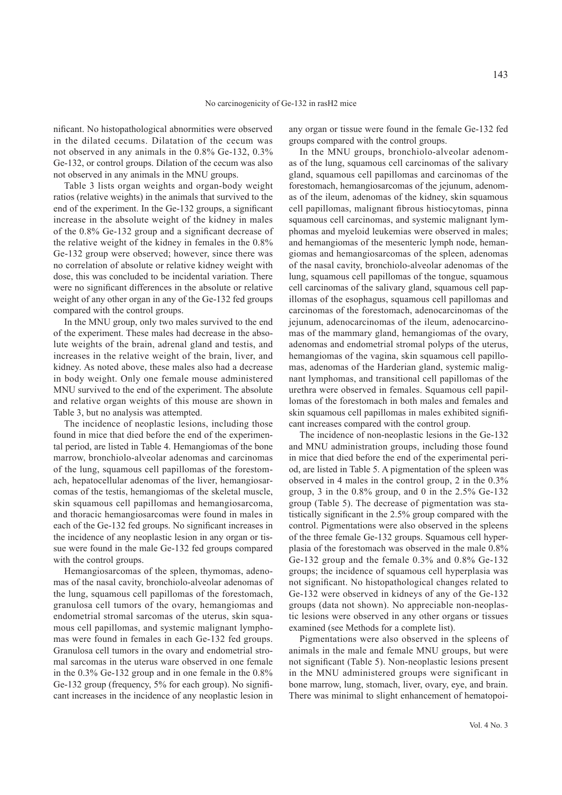nificant. No histopathological abnormities were observed in the dilated cecums. Dilatation of the cecum was not observed in any animals in the 0.8% Ge-132, 0.3% Ge-132, or control groups. Dilation of the cecum was also not observed in any animals in the MNU groups.

Table 3 lists organ weights and organ-body weight ratios (relative weights) in the animals that survived to the end of the experiment. In the Ge-132 groups, a significant increase in the absolute weight of the kidney in males of the 0.8% Ge-132 group and a significant decrease of the relative weight of the kidney in females in the 0.8% Ge-132 group were observed; however, since there was no correlation of absolute or relative kidney weight with dose, this was concluded to be incidental variation. There were no significant differences in the absolute or relative weight of any other organ in any of the Ge-132 fed groups compared with the control groups.

In the MNU group, only two males survived to the end of the experiment. These males had decrease in the absolute weights of the brain, adrenal gland and testis, and increases in the relative weight of the brain, liver, and kidney. As noted above, these males also had a decrease in body weight. Only one female mouse administered MNU survived to the end of the experiment. The absolute and relative organ weights of this mouse are shown in Table 3, but no analysis was attempted.

The incidence of neoplastic lesions, including those found in mice that died before the end of the experimental period, are listed in Table 4. Hemangiomas of the bone marrow, bronchiolo-alveolar adenomas and carcinomas of the lung, squamous cell papillomas of the forestomach, hepatocellular adenomas of the liver, hemangiosarcomas of the testis, hemangiomas of the skeletal muscle, skin squamous cell papillomas and hemangiosarcoma, and thoracic hemangiosarcomas were found in males in each of the Ge-132 fed groups. No significant increases in the incidence of any neoplastic lesion in any organ or tissue were found in the male Ge-132 fed groups compared with the control groups.

Hemangiosarcomas of the spleen, thymomas, adenomas of the nasal cavity, bronchiolo-alveolar adenomas of the lung, squamous cell papillomas of the forestomach, granulosa cell tumors of the ovary, hemangiomas and endometrial stromal sarcomas of the uterus, skin squamous cell papillomas, and systemic malignant lymphomas were found in females in each Ge-132 fed groups. Granulosa cell tumors in the ovary and endometrial stromal sarcomas in the uterus ware observed in one female in the 0.3% Ge-132 group and in one female in the 0.8% Ge-132 group (frequency, 5% for each group). No significant increases in the incidence of any neoplastic lesion in

any organ or tissue were found in the female Ge-132 fed groups compared with the control groups.

In the MNU groups, bronchiolo-alveolar adenomas of the lung, squamous cell carcinomas of the salivary gland, squamous cell papillomas and carcinomas of the forestomach, hemangiosarcomas of the jejunum, adenomas of the ileum, adenomas of the kidney, skin squamous cell papillomas, malignant fibrous histiocytomas, pinna squamous cell carcinomas, and systemic malignant lymphomas and myeloid leukemias were observed in males; and hemangiomas of the mesenteric lymph node, hemangiomas and hemangiosarcomas of the spleen, adenomas of the nasal cavity, bronchiolo-alveolar adenomas of the lung, squamous cell papillomas of the tongue, squamous cell carcinomas of the salivary gland, squamous cell papillomas of the esophagus, squamous cell papillomas and carcinomas of the forestomach, adenocarcinomas of the jejunum, adenocarcinomas of the ileum, adenocarcinomas of the mammary gland, hemangiomas of the ovary, adenomas and endometrial stromal polyps of the uterus, hemangiomas of the vagina, skin squamous cell papillomas, adenomas of the Harderian gland, systemic malignant lymphomas, and transitional cell papillomas of the urethra were observed in females. Squamous cell papillomas of the forestomach in both males and females and skin squamous cell papillomas in males exhibited significant increases compared with the control group.

The incidence of non-neoplastic lesions in the Ge-132 and MNU administration groups, including those found in mice that died before the end of the experimental period, are listed in Table 5. A pigmentation of the spleen was observed in 4 males in the control group, 2 in the 0.3% group, 3 in the 0.8% group, and 0 in the 2.5% Ge-132 group (Table 5). The decrease of pigmentation was statistically significant in the 2.5% group compared with the control. Pigmentations were also observed in the spleens of the three female Ge-132 groups. Squamous cell hyperplasia of the forestomach was observed in the male 0.8% Ge-132 group and the female 0.3% and 0.8% Ge-132 groups; the incidence of squamous cell hyperplasia was not significant. No histopathological changes related to Ge-132 were observed in kidneys of any of the Ge-132 groups (data not shown). No appreciable non-neoplastic lesions were observed in any other organs or tissues examined (see Methods for a complete list).

Pigmentations were also observed in the spleens of animals in the male and female MNU groups, but were not significant (Table 5). Non-neoplastic lesions present in the MNU administered groups were significant in bone marrow, lung, stomach, liver, ovary, eye, and brain. There was minimal to slight enhancement of hematopoi-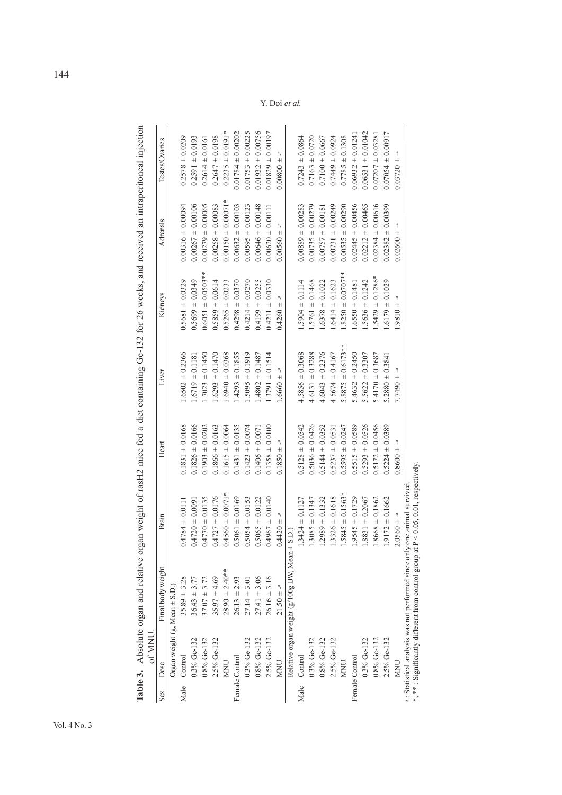|      | of MNU                           |                                                                                                              |                                                         |                           | ranic or soloing or starting and the control of the starting of the control of the control of the starting of the starting of the starting of the starting of the starting of the starting of the starting in the control of t |                        |                        |                       |
|------|----------------------------------|--------------------------------------------------------------------------------------------------------------|---------------------------------------------------------|---------------------------|--------------------------------------------------------------------------------------------------------------------------------------------------------------------------------------------------------------------------------|------------------------|------------------------|-----------------------|
| Sex  | Dose                             | Final body weight                                                                                            | Brain                                                   | Heart                     | Liver                                                                                                                                                                                                                          | Kidneys                | Adrenals               | Testes/Ovaries        |
|      | Organ weight $(g, Mean \pm S.D.$ |                                                                                                              |                                                         |                           |                                                                                                                                                                                                                                |                        |                        |                       |
| Male | Control                          | $35.89 \pm 3.28$                                                                                             | $0.4784 \pm 0.0111$                                     | $0.1831 \pm 0.0168$       | $1.6502 \pm 0.2366$                                                                                                                                                                                                            | $0.5681 \pm 0.0329$    | $0.00316 \pm 0.00094$  | $0.2578 \pm 0.0209$   |
|      | $0.3\%$ Ge-132                   | $36.43 \pm 3.77$                                                                                             | $0.4720 \pm 0.0091$                                     | $0.1826 \pm 0.0166$       | $1.6719 \pm 0.1181$                                                                                                                                                                                                            | $0.5699 \pm 0.0349$    | $0.00267 \pm 0.00106$  | $0.2591 \pm 0.0193$   |
|      | $0.8\%$ Ge-132                   | $37.07 + 3.72$                                                                                               | $0.4770 \pm 0.0135$                                     | $0.1903 \pm 0.0202$       | $.7023 \pm 0.1450$                                                                                                                                                                                                             | $0.6051 \pm 0.0503$ ** | $0.00279 \pm 0.00065$  | $0.2614 \pm 0.0161$   |
|      | 2.5% Ge-132                      | $35.97 \pm 4.69$                                                                                             | $0.4727 \pm 0.0176$                                     | $0.1866 \pm 0.0163$       | $.6293 \pm 0.1470$                                                                                                                                                                                                             | $0.5859 \pm 0.0614$    | $0.00258 \pm 0.00083$  | $0.2647 \pm 0.0198$   |
|      | <b>MNU</b>                       | $28.90 \pm 2.40**$                                                                                           | $0.4560 \pm 0.0071*$                                    | $0.1615 \pm 0.0064$       | $.6940 \pm 0.0368$                                                                                                                                                                                                             | $0.5265 \pm 0.0233$    | $0.00150 \pm 0.00071*$ | $0.2235 \pm 0.0191*$  |
|      | Female Control                   | $26.13 \pm 2.93$                                                                                             | $0.5061 \pm 0.0169$                                     | $0.1431 \pm 0.0135$       | $.4293 \pm 0.1855$                                                                                                                                                                                                             | $0.4298 \pm 0.0370$    | $0.00632 \pm 0.00103$  | $0.01784 \pm 0.00202$ |
|      | 0.3% Ge-132                      | $27.14 \pm 3.01$                                                                                             | $0.5054 \pm 0.0153$                                     | $0.1423 \pm 0.0074$       | $.5095 \pm 0.1919$                                                                                                                                                                                                             | $0.4214 \pm 0.0270$    | $0.00595 \pm 0.00123$  | $0.01753 \pm 0.00225$ |
|      | $0.8\%$ Ge-132                   | $27.41 \pm 3.06$                                                                                             | $0.5065 \pm 0.0122$                                     | $0.1406 \pm 0.0071$       | $.4802 \pm 0.1487$                                                                                                                                                                                                             | $0.4199 \pm 0.0255$    | $0.00646 \pm 0.00148$  | $0.01932 \pm 0.00756$ |
|      | 2.5% Ge-132                      | $26.16 \pm 3.16$                                                                                             | $0.4967 \pm 0.0140$                                     | $0.1358 \pm 0.0100$       | $.3791 \pm 0.1514$                                                                                                                                                                                                             | $0.4211 \pm 0.0330$    | $0.00620 \pm 0.00111$  | $0.01829 \pm 0.00197$ |
|      | <b>NNU</b>                       | $21.50 \pm -4$                                                                                               | $- + -1$                                                | $0.1850 + -$ <sup>a</sup> | $1.6660 + -a$                                                                                                                                                                                                                  | $0.4260 = -a$          | $0.00560 + -a$         | $0.00800 \pm -a$      |
|      |                                  | Relative organ weight (g/100g BW, Mean ±                                                                     | S.D.)                                                   |                           |                                                                                                                                                                                                                                |                        |                        |                       |
| Male | Control                          |                                                                                                              | $1.3424 \pm 0.1127$                                     | $0.5128 \pm 0.0542$       | $4.5856 \pm 0.3068$                                                                                                                                                                                                            | $.5904 \pm 0.1114$     | $0.00889 \pm 0.00283$  | $0.7243 \pm 0.0864$   |
|      | 0.3% Ge-132                      |                                                                                                              | $.3085 \pm 0.1347$                                      | $0.5036 \pm 0.0426$       | $4.6131 \pm 0.3288$                                                                                                                                                                                                            | $.5761 \pm 0.1468$     | $0.00735 \pm 0.00279$  | $0.7163 \pm 0.0720$   |
|      | 0.8% Ge-132                      |                                                                                                              | $.2989 \pm 0.1332$                                      | $0.5144 \pm 0.0352$       | $4.6043 \pm 0.2376$                                                                                                                                                                                                            | $.6378 \pm 0.1022$     | $0.00757 \pm 0.00181$  | $0.7100 \pm 0.0667$   |
|      | 2.5% Ge-132                      |                                                                                                              | $1.3326 \pm 0.1618$                                     | $0.5237 \pm 0.0531$       | $4.5674 \pm 0.4167$                                                                                                                                                                                                            | $.6414 \pm 0.1623$     | $0.00731 \pm 0.00249$  | $0.7449 \pm 0.0924$   |
|      | <b>NINU</b>                      |                                                                                                              | $1.5845 \pm 0.1563*$                                    | $0.5595 \pm 0.0247$       | $5.8875 \pm 0.6173$ **                                                                                                                                                                                                         | $.8250 \pm 0.0707$ **  | $0.00535 \pm 0.00290$  | $0.7785 \pm 0.1308$   |
|      | Female Control                   |                                                                                                              | $1.9545 \pm 0.1729$                                     | $0.5515 \pm 0.0589$       | $5.4632 \pm 0.2450$                                                                                                                                                                                                            | $.6550 \pm 0.1481$     | $0.02445 \pm 0.00456$  | $0.06932 \pm 0.01241$ |
|      | $0.3\%$ Ge-132                   |                                                                                                              | $1.8831 \pm 0.2067$                                     | $0.5293 \pm 0.0526$       | $5.5622 \pm 0.3307$                                                                                                                                                                                                            | $.5636 \pm 0.1242$     | $0.02212 \pm 0.00465$  | $0.06531 \pm 0.01042$ |
|      | $0.8\%$ Ge-132                   |                                                                                                              | $.8668 \pm 0.1862$                                      | $0.5172 \pm 0.0456$       | $.4170 \pm 0.3687$                                                                                                                                                                                                             | $.5429 \pm 0.1286*$    | $0.02384 \pm 0.00616$  | $0.07207 \pm 0.03281$ |
|      | 2.5% Ge-132                      |                                                                                                              | $1.9172 \pm 0.1662$                                     | $0.5224 \pm 0.0389$       | $5.2880 \pm 0.3841$                                                                                                                                                                                                            | $.6179 \pm 0.1029$     | $0.02382 \pm 0.00399$  | $0.07054 \pm 0.00917$ |
|      | <b>MNU</b>                       |                                                                                                              | $2.0560 \pm -a$                                         | $0.8600 + -$              | $7.7490 + -a$                                                                                                                                                                                                                  | $- + 0180.1$           | $0.02600 + -$          | $0.03720 = -8$        |
|      |                                  | : Statistical analysis was not performed since only<br>*, ** : Significantly different from control group at | one animal survived<br>$P < 0.05$ , 0.01, respectively. |                           |                                                                                                                                                                                                                                |                        |                        |                       |

Table 3. Absolute organ and relative organ weight of rasH2 mice fed a diet containing Ge-132 for 26 weeks, and received an intraperitoneal injection **Table 3.** Absolute organ and relative organ weight of rasH2 mice fed a diet containing Ge-132 for 26 weeks, and received an intraperitoneal injection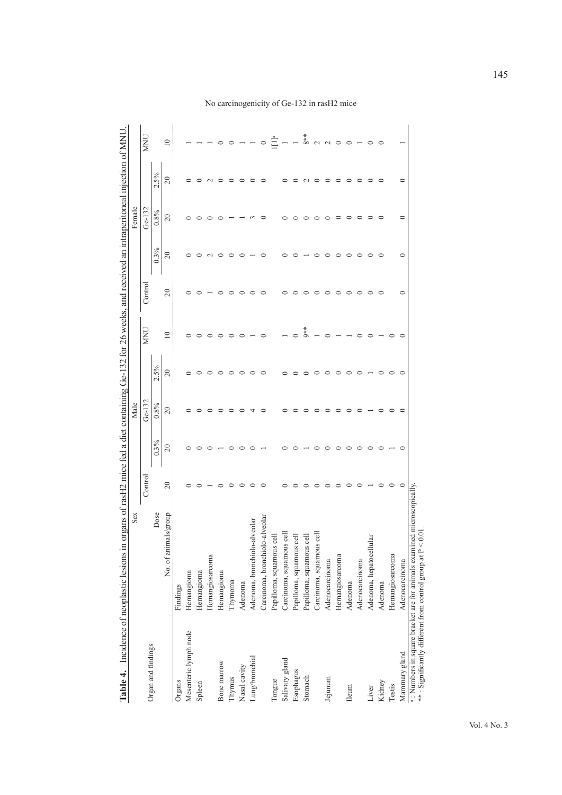|                                                                                                              | Sex                            |                |           | Male      |                | organs of rasH2 mice fed a diet containing Ge-132 for 26 weeks, and received an intraperitoneal injection of MNU |         |                | Female         |                |                 |
|--------------------------------------------------------------------------------------------------------------|--------------------------------|----------------|-----------|-----------|----------------|------------------------------------------------------------------------------------------------------------------|---------|----------------|----------------|----------------|-----------------|
|                                                                                                              |                                | Control        |           | Ge-132    |                | <b>MNU</b>                                                                                                       | Control |                | $Ge-132$       |                | <b>MNU</b>      |
| Organ and findings                                                                                           | Dose                           |                | 0.3%      | 0.8%      | 2.5%           |                                                                                                                  |         | 0.3%           | 0.8%           | 2.5%           |                 |
|                                                                                                              | No. of animals/group           | $\overline{c}$ | $\approx$ | $\approx$ | $\overline{c}$ | $\overline{10}$                                                                                                  | 20      | $\overline{c}$ | $\overline{c}$ | $\overline{c}$ | $\overline{10}$ |
| Organs                                                                                                       | Findings                       |                |           |           |                |                                                                                                                  |         |                |                |                |                 |
| Mesenteric lymph node                                                                                        | Hemangioma                     |                |           |           |                |                                                                                                                  |         |                |                |                |                 |
| Spleen                                                                                                       | Hemangioma                     |                |           |           |                |                                                                                                                  |         |                |                |                |                 |
|                                                                                                              | Hemangiosarcoma                |                |           |           |                |                                                                                                                  |         |                |                |                |                 |
| Bone marrow                                                                                                  | Hemangioma                     |                |           |           |                |                                                                                                                  |         |                |                |                |                 |
| Thymus                                                                                                       | Thymoma                        |                |           |           |                |                                                                                                                  |         |                |                |                |                 |
| Nasal cavity                                                                                                 | Adenoma                        | ⊂              |           |           | ○              |                                                                                                                  | ⊂       |                |                |                |                 |
| Lung/bronchial                                                                                               | Adenoma, bronchiolo-alveolar   |                |           |           |                |                                                                                                                  |         |                |                |                |                 |
|                                                                                                              | Carcinoma, bronchiolo-alveolar |                |           |           |                |                                                                                                                  | ⊂       |                |                |                |                 |
| Tongue                                                                                                       | Papilloma, squamous cell       |                |           |           |                |                                                                                                                  |         |                |                |                |                 |
| Salivary gland                                                                                               | cell<br>Carcinoma, squamous    |                |           |           |                |                                                                                                                  |         |                |                |                |                 |
| Esophagus                                                                                                    | Papilloma, squamous cell       |                |           |           |                |                                                                                                                  |         |                |                |                |                 |
| Stomach                                                                                                      | Papilloma, squamous cell       |                |           |           |                | $\alpha^*$                                                                                                       |         |                |                |                | $8**$           |
|                                                                                                              | ह<br>Carcinoma, squamous       |                |           |           |                |                                                                                                                  |         |                |                |                | $\sim$          |
| Jejunum                                                                                                      | Adenocarcinoma                 |                |           |           |                |                                                                                                                  |         |                |                |                | $\sim$          |
|                                                                                                              | Hemangiosarcoma                |                |           |           |                |                                                                                                                  |         |                |                |                | $\circ$         |
| <b>Ileum</b>                                                                                                 | Adenoma                        |                |           |           |                |                                                                                                                  | ⊂       |                |                |                |                 |
|                                                                                                              | Adenocarcinoma                 |                |           |           |                |                                                                                                                  | 0       |                | ○              |                |                 |
| Liver                                                                                                        | Adenoma, hepatocellular        |                |           |           |                |                                                                                                                  | ○       |                |                |                |                 |
| Kidney                                                                                                       | Adenoma                        |                |           |           |                |                                                                                                                  |         |                |                |                |                 |
| Testis                                                                                                       | Hemangiosarcoma                |                |           |           |                |                                                                                                                  |         |                |                |                |                 |
| Mammary gland                                                                                                | Adenocarcinoma                 | $\circ$        |           |           |                |                                                                                                                  | 0       | 0              | 0              | ⊂              |                 |
| a: Numbers in square bracket are for animals examin<br>**: Significantly different from control group at P < | red microscopically.<br>0.01   |                |           |           |                |                                                                                                                  |         |                |                |                |                 |

No carcinogenicity of Ge-132 in rasH2 mice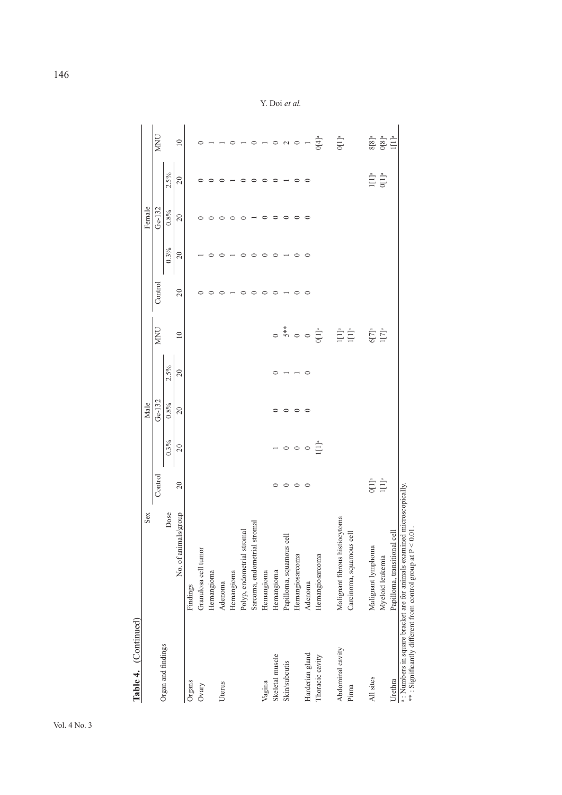| Table 4. (Continued) |                                                                                                                                      |                         |                                                  |          |         |                                                                           |         |         |          |                                                       |                                                                                                                                 |
|----------------------|--------------------------------------------------------------------------------------------------------------------------------------|-------------------------|--------------------------------------------------|----------|---------|---------------------------------------------------------------------------|---------|---------|----------|-------------------------------------------------------|---------------------------------------------------------------------------------------------------------------------------------|
|                      | Sex                                                                                                                                  |                         |                                                  | Male     |         |                                                                           |         |         | Female   |                                                       |                                                                                                                                 |
|                      |                                                                                                                                      | Control                 |                                                  | $Ge-132$ |         | <b>MNU</b>                                                                | Control |         | $Ge-132$ |                                                       | <b>NIN</b>                                                                                                                      |
| Organ and findings   | Dose                                                                                                                                 |                         | 0.3%                                             | $0.8\%$  | $2.5\%$ |                                                                           |         | 0.3%    | 0.8%     | 2.5%                                                  |                                                                                                                                 |
|                      | No. of animals/group                                                                                                                 | $\overline{c}$          | $20\,$                                           | $20\,$   | 20      | 10                                                                        | 20      | 20      | 20       | 20                                                    | $\overline{10}$                                                                                                                 |
| Organs               | Findings                                                                                                                             |                         |                                                  |          |         |                                                                           |         |         |          |                                                       |                                                                                                                                 |
| Ovary                | Granulosa cell tumor                                                                                                                 |                         |                                                  |          |         |                                                                           |         |         |          |                                                       |                                                                                                                                 |
|                      | Hemangioma                                                                                                                           |                         |                                                  |          |         |                                                                           |         |         |          |                                                       |                                                                                                                                 |
| Uterus               | Adenoma                                                                                                                              |                         |                                                  |          |         |                                                                           |         |         |          |                                                       |                                                                                                                                 |
|                      | Hemangioma                                                                                                                           |                         |                                                  |          |         |                                                                           |         |         |          |                                                       |                                                                                                                                 |
|                      | Polyp, endometrial stromal                                                                                                           |                         |                                                  |          |         |                                                                           |         |         |          |                                                       |                                                                                                                                 |
|                      | stromal<br>Sarcoma, endometrial                                                                                                      |                         |                                                  |          |         |                                                                           |         |         |          |                                                       | $\circ$                                                                                                                         |
| Vagina               | Hemangioma                                                                                                                           |                         |                                                  |          |         |                                                                           |         |         | $\circ$  |                                                       | $-$ 0 $\alpha$ 0 $-$                                                                                                            |
| Skeletal muscle      | Hemangioma                                                                                                                           |                         |                                                  |          |         |                                                                           | ⊂       |         | $\circ$  | $\circ$                                               |                                                                                                                                 |
| <b>Skin/subcutis</b> | $_{\rm cell}$<br>Papilloma, squamous                                                                                                 | $\circ$                 |                                                  | $\circ$  |         |                                                                           |         |         | ○        |                                                       |                                                                                                                                 |
|                      | Hemangiosarcoma                                                                                                                      | $\circ$                 | $\overline{\phantom{0}}$ $\circ$ $\circ$ $\circ$ | $\circ$  |         |                                                                           | ○       |         | $\circ$  | $\circ$                                               |                                                                                                                                 |
| Harderian gland      | Adenoma                                                                                                                              | $\circ$                 |                                                  | $\circ$  | $\circ$ |                                                                           | $\circ$ | $\circ$ | $\circ$  | $\circ$                                               |                                                                                                                                 |
| Thoracic cavity      | Hemangiosarcoma                                                                                                                      |                         | $\prod_{i=1}^{n}$                                |          |         |                                                                           |         |         |          |                                                       | $J[4]$ <sup>a</sup>                                                                                                             |
| Abdominal cavity     | Malignant fibrous histiocytoma                                                                                                       |                         |                                                  |          |         | 0<br>$5**$<br>0<br>0<br>0<br>1<br>1<br>1<br>1<br>1<br>1<br>1<br>1<br><br> |         |         |          |                                                       | $0[1]$ <sup>a</sup>                                                                                                             |
| Pinna                | Carcinoma, squamous cell                                                                                                             |                         |                                                  |          |         |                                                                           |         |         |          |                                                       |                                                                                                                                 |
| All sites            | Malignant lymphoma                                                                                                                   |                         |                                                  |          |         | $6[7]^a$<br>$1[7]^a$                                                      |         |         |          |                                                       |                                                                                                                                 |
|                      | Myeloid leukemia                                                                                                                     | $\prod_{\rm I}^{\rm a}$ |                                                  |          |         |                                                                           |         |         |          | $\begin{array}{c} 1 [1]^{a} \\ 0 [1]^{a} \end{array}$ | $\begin{array}{c} 8\overline{[}8\overline{]^{a}}\\ 0\overline{[}8\overline{]^{a}}\\ 1\overline{[}1\overline{]^{a}} \end{array}$ |
| Urethra              | Papilloma, transitional cell                                                                                                         |                         |                                                  |          |         |                                                                           |         |         |          |                                                       |                                                                                                                                 |
|                      | a: Numbers in square bracket are for animals examined microscopically.<br>**: Significantly different from control group at P < 0.01 |                         |                                                  |          |         |                                                                           |         |         |          |                                                       |                                                                                                                                 |

Y. Doi *et al.*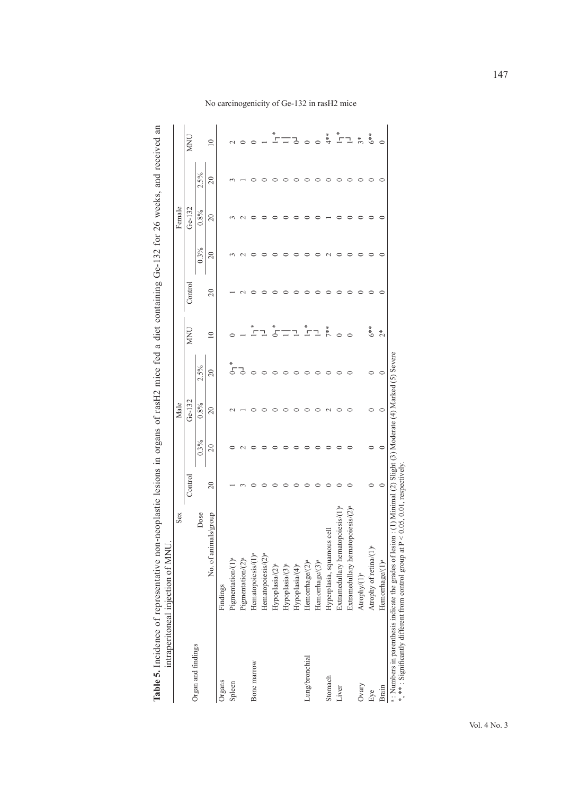| Table 5. Incidence of representative nor<br>ntraperitoneal injection of MNU | n-neoplastic lesions in organs of rasH2 mice fed a diet containing Ge-132 for 26 weeks, and received an |         |              |      |            |         |                    |                 |      |            |
|-----------------------------------------------------------------------------|---------------------------------------------------------------------------------------------------------|---------|--------------|------|------------|---------|--------------------|-----------------|------|------------|
|                                                                             | Sex                                                                                                     |         | Male         |      |            |         |                    | Female          |      |            |
|                                                                             |                                                                                                         | Control | Ge-132       |      | <b>MNU</b> | Control |                    | $Ge-132$        |      | <b>MNU</b> |
| rgan and findings                                                           | Dose                                                                                                    |         | $0.3\%$ 0.8% | 2.5% |            |         |                    | $0.3\%$ $0.8\%$ | 2.5% |            |
|                                                                             | $\mathbf{M}$ and $\mathbf{M}$ and $\mathbf{M}$ and $\mathbf{M}$                                         | ွ       |              |      |            | ွ       | $\tilde{\epsilon}$ |                 |      |            |

|                    | Sex                                                                                                                               |                  |           | Male      |                                                       |                      |         |                 | Female   |                 |                      |
|--------------------|-----------------------------------------------------------------------------------------------------------------------------------|------------------|-----------|-----------|-------------------------------------------------------|----------------------|---------|-----------------|----------|-----------------|----------------------|
|                    |                                                                                                                                   | $_{\rm Control}$ |           | Ge-132    |                                                       | <b>MNU</b>           | Control |                 | $Ge-132$ |                 | <b>MNU</b>           |
| Organ and findings | Dose                                                                                                                              |                  | $0.3\%$   | 0.8%      | 2.5%                                                  |                      |         | 0.3%            | 0.8%     | 2.5%            |                      |
|                    | No. of animals/group                                                                                                              | 20               | $\approx$ | $\approx$ | $\overline{20}$                                       | $\overline{10}$      | 20      | $\overline{20}$ | 20       | $\overline{20}$ | $\approx$            |
| Organs             | Findings                                                                                                                          |                  |           |           |                                                       |                      |         |                 |          |                 |                      |
| Spleen             | Pigmentation/(1) <sup>a</sup>                                                                                                     |                  |           |           |                                                       |                      |         |                 |          |                 |                      |
|                    | Pigmentation/(2) <sup>a</sup>                                                                                                     |                  |           |           |                                                       |                      |         |                 |          |                 |                      |
| Bone marrow        | Hematopoiesis/(1) <sup>a</sup>                                                                                                    |                  |           |           |                                                       |                      |         |                 |          |                 |                      |
|                    | Hematopoiesis/ $(2)^a$                                                                                                            |                  |           |           |                                                       |                      |         |                 |          |                 |                      |
|                    | Hypoplasia/ $(2)^a$                                                                                                               |                  |           |           |                                                       |                      |         |                 |          |                 |                      |
|                    | Hypoplasia/(3) <sup>a</sup>                                                                                                       |                  |           |           |                                                       |                      |         |                 |          |                 |                      |
|                    | Hypoplasia/(4) <sup>a</sup>                                                                                                       |                  |           |           |                                                       |                      |         |                 |          |                 |                      |
| Lung/bronchial     | Hemorrhage/ $(2)^a$                                                                                                               |                  |           |           |                                                       | $\tilde{\mathbb{F}}$ |         |                 |          |                 |                      |
|                    | Hemorrhage/ $(3)^a$                                                                                                               |                  |           |           |                                                       |                      |         |                 |          |                 |                      |
| Stomach            |                                                                                                                                   |                  |           |           |                                                       | 7**                  |         |                 |          |                 | $*^*$                |
| Liver              |                                                                                                                                   |                  |           |           |                                                       |                      |         |                 |          |                 | $\frac{1}{\sqrt{2}}$ |
|                    | opotesis/(2) <sup>ª</sup><br>Hyperplasia, squamous cell<br>Extramedullary hematopoiesis/(<br>Extramedullary hematopoiesis/(       |                  |           |           |                                                       |                      |         |                 |          |                 | ı                    |
| Ovary              | Atrophy(1) <sup>a</sup>                                                                                                           |                  |           |           |                                                       |                      |         |                 |          |                 | $\tilde{3}^*$        |
| Eye                | Atrophy of $\mathrm{reina}/(1)^{\mathrm{a}}$                                                                                      |                  |           |           |                                                       | $6**$                |         |                 |          |                 | $6**$                |
| Brain              | Hemorrhage/(1) <sup>a</sup>                                                                                                       |                  | $\subset$ |           |                                                       | $2*$                 |         |                 |          |                 |                      |
|                    | <sup>a</sup> : Numbers in parenthesis indicate the grades of lesion: (<br>* * * : Significantly different from control group at I | respectively     |           |           | Minimal (2) Slight (3) Moderate (4) Marked (5) Severe |                      |         |                 |          |                 |                      |
|                    |                                                                                                                                   |                  |           |           |                                                       |                      |         |                 |          |                 |                      |

No carcinogenicity of Ge-132 in rasH2 mice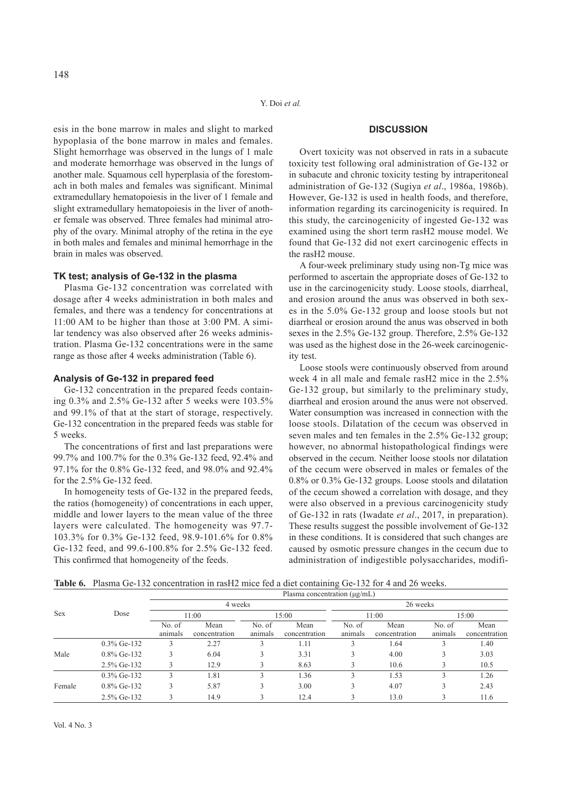esis in the bone marrow in males and slight to marked hypoplasia of the bone marrow in males and females. Slight hemorrhage was observed in the lungs of 1 male and moderate hemorrhage was observed in the lungs of another male. Squamous cell hyperplasia of the forestomach in both males and females was significant. Minimal extramedullary hematopoiesis in the liver of 1 female and slight extramedullary hematopoiesis in the liver of another female was observed. Three females had minimal atrophy of the ovary. Minimal atrophy of the retina in the eye in both males and females and minimal hemorrhage in the brain in males was observed.

# **TK test; analysis of Ge-132 in the plasma**

Plasma Ge-132 concentration was correlated with dosage after 4 weeks administration in both males and females, and there was a tendency for concentrations at 11:00 AM to be higher than those at 3:00 PM. A similar tendency was also observed after 26 weeks administration. Plasma Ge-132 concentrations were in the same range as those after 4 weeks administration (Table 6).

## **Analysis of Ge-132 in prepared feed**

Ge-132 concentration in the prepared feeds containing 0.3% and 2.5% Ge-132 after 5 weeks were 103.5% and 99.1% of that at the start of storage, respectively. Ge-132 concentration in the prepared feeds was stable for 5 weeks.

The concentrations of first and last preparations were 99.7% and 100.7% for the 0.3% Ge-132 feed, 92.4% and 97.1% for the 0.8% Ge-132 feed, and 98.0% and 92.4% for the 2.5% Ge-132 feed.

In homogeneity tests of Ge-132 in the prepared feeds, the ratios (homogeneity) of concentrations in each upper, middle and lower layers to the mean value of the three layers were calculated. The homogeneity was 97.7- 103.3% for 0.3% Ge-132 feed, 98.9-101.6% for 0.8% Ge-132 feed, and 99.6-100.8% for 2.5% Ge-132 feed. This confirmed that homogeneity of the feeds.

# **DISCUSSION**

Overt toxicity was not observed in rats in a subacute toxicity test following oral administration of Ge-132 or in subacute and chronic toxicity testing by intraperitoneal administration of Ge-132 (Sugiya *et al*., 1986a, 1986b). However, Ge-132 is used in health foods, and therefore, information regarding its carcinogenicity is required. In this study, the carcinogenicity of ingested Ge-132 was examined using the short term rasH2 mouse model. We found that Ge-132 did not exert carcinogenic effects in the rasH2 mouse.

A four-week preliminary study using non-Tg mice was performed to ascertain the appropriate doses of Ge-132 to use in the carcinogenicity study. Loose stools, diarrheal, and erosion around the anus was observed in both sexes in the 5.0% Ge-132 group and loose stools but not diarrheal or erosion around the anus was observed in both sexes in the 2.5% Ge-132 group. Therefore, 2.5% Ge-132 was used as the highest dose in the 26-week carcinogenicity test.

Loose stools were continuously observed from around week 4 in all male and female rasH2 mice in the 2.5% Ge-132 group, but similarly to the preliminary study, diarrheal and erosion around the anus were not observed. Water consumption was increased in connection with the loose stools. Dilatation of the cecum was observed in seven males and ten females in the 2.5% Ge-132 group; however, no abnormal histopathological findings were observed in the cecum. Neither loose stools nor dilatation of the cecum were observed in males or females of the 0.8% or 0.3% Ge-132 groups. Loose stools and dilatation of the cecum showed a correlation with dosage, and they were also observed in a previous carcinogenicity study of Ge-132 in rats (Iwadate *et al*., 2017, in preparation). These results suggest the possible involvement of Ge-132 in these conditions. It is considered that such changes are caused by osmotic pressure changes in the cecum due to administration of indigestible polysaccharides, modifi-

**Table 6.** Plasma Ge-132 concentration in rasH2 mice fed a diet containing Ge-132 for 4 and 26 weeks.

|            |                |                   |                       |                   | Plasma concentration $(\mu g/mL)$ |                   |                       |                   |                       |
|------------|----------------|-------------------|-----------------------|-------------------|-----------------------------------|-------------------|-----------------------|-------------------|-----------------------|
|            |                |                   | 4 weeks               |                   |                                   |                   | 26 weeks              |                   |                       |
| <b>Sex</b> | Dose           |                   | 11:00                 |                   | 15:00                             |                   | 11:00                 |                   | 15:00                 |
|            |                | No. of<br>animals | Mean<br>concentration | No. of<br>animals | Mean<br>concentration             | No. of<br>animals | Mean<br>concentration | No. of<br>animals | Mean<br>concentration |
|            | $0.3\%$ Ge-132 |                   | 2.27                  |                   | 1.11                              |                   | 1.64                  |                   | 1.40                  |
| Male       | $0.8\%$ Ge-132 |                   | 6.04                  | 3                 | 3.31                              |                   | 4.00                  |                   | 3.03                  |
|            | 2.5% Ge-132    |                   | 12.9                  |                   | 8.63                              |                   | 10.6                  |                   | 10.5                  |
|            | $0.3\%$ Ge-132 |                   | 1.81                  | 3                 | 1.36                              |                   | 1.53                  |                   | 1.26                  |
| Female     | $0.8\%$ Ge-132 |                   | 5.87                  | 3                 | 3.00                              |                   | 4.07                  |                   | 2.43                  |
|            | 2.5% Ge-132    |                   | 14.9                  |                   | 12.4                              |                   | 13.0                  |                   | 11.6                  |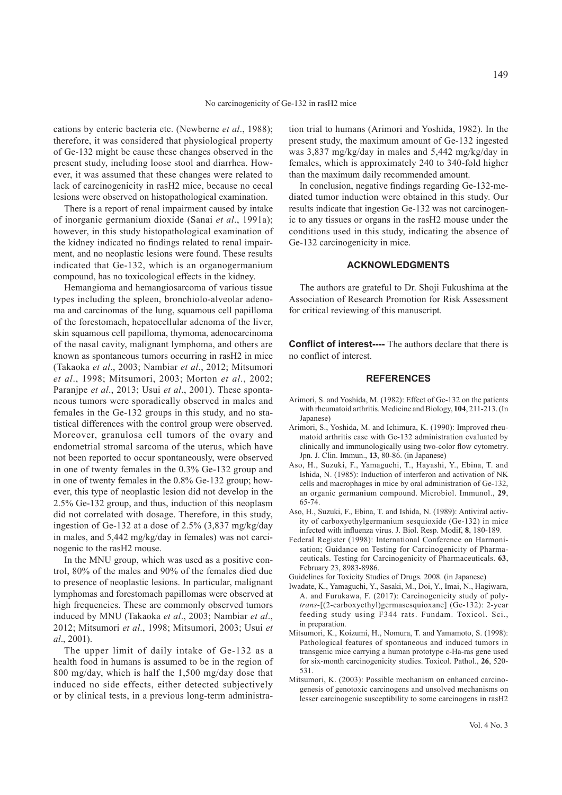cations by enteric bacteria etc. (Newberne *et al*., 1988); therefore, it was considered that physiological property of Ge-132 might be cause these changes observed in the present study, including loose stool and diarrhea. However, it was assumed that these changes were related to lack of carcinogenicity in rasH2 mice, because no cecal lesions were observed on histopathological examination.

There is a report of renal impairment caused by intake of inorganic germanium dioxide (Sanai *et al*., 1991a); however, in this study histopathological examination of the kidney indicated no findings related to renal impairment, and no neoplastic lesions were found. These results indicated that Ge-132, which is an organogermanium compound, has no toxicological effects in the kidney.

Hemangioma and hemangiosarcoma of various tissue types including the spleen, bronchiolo-alveolar adenoma and carcinomas of the lung, squamous cell papilloma of the forestomach, hepatocellular adenoma of the liver, skin squamous cell papilloma, thymoma, adenocarcinoma of the nasal cavity, malignant lymphoma, and others are known as spontaneous tumors occurring in rasH2 in mice (Takaoka *et al*., 2003; Nambiar *et al*., 2012; Mitsumori *et al*., 1998; Mitsumori, 2003; Morton *et al*., 2002; Paranjpe *et al*., 2013; Usui *et al*., 2001). These spontaneous tumors were sporadically observed in males and females in the Ge-132 groups in this study, and no statistical differences with the control group were observed. Moreover, granulosa cell tumors of the ovary and endometrial stromal sarcoma of the uterus, which have not been reported to occur spontaneously, were observed in one of twenty females in the 0.3% Ge-132 group and in one of twenty females in the 0.8% Ge-132 group; however, this type of neoplastic lesion did not develop in the 2.5% Ge-132 group, and thus, induction of this neoplasm did not correlated with dosage. Therefore, in this study, ingestion of Ge-132 at a dose of 2.5% (3,837 mg/kg/day in males, and 5,442 mg/kg/day in females) was not carcinogenic to the rasH2 mouse.

In the MNU group, which was used as a positive control, 80% of the males and 90% of the females died due to presence of neoplastic lesions. In particular, malignant lymphomas and forestomach papillomas were observed at high frequencies. These are commonly observed tumors induced by MNU (Takaoka *et al*., 2003; Nambiar *et al*., 2012; Mitsumori *et al*., 1998; Mitsumori, 2003; Usui *et al*., 2001).

The upper limit of daily intake of Ge-132 as a health food in humans is assumed to be in the region of 800 mg/day, which is half the 1,500 mg/day dose that induced no side effects, either detected subjectively or by clinical tests, in a previous long-term administration trial to humans (Arimori and Yoshida, 1982). In the present study, the maximum amount of Ge-132 ingested was 3,837 mg/kg/day in males and 5,442 mg/kg/day in females, which is approximately 240 to 340-fold higher than the maximum daily recommended amount.

In conclusion, negative findings regarding Ge-132-mediated tumor induction were obtained in this study. Our results indicate that ingestion Ge-132 was not carcinogenic to any tissues or organs in the rasH2 mouse under the conditions used in this study, indicating the absence of Ge-132 carcinogenicity in mice.

# **ACKNOWLEDGMENTS**

The authors are grateful to Dr. Shoji Fukushima at the Association of Research Promotion for Risk Assessment for critical reviewing of this manuscript.

**Conflict of interest----** The authors declare that there is no conflict of interest.

## **REFERENCES**

- Arimori, S. and Yoshida, M. (1982): Effect of Ge-132 on the patients with rheumatoid arthritis. Medicine and Biology, **104**, 211-213. (In Japanese)
- Arimori, S., Yoshida, M. and Ichimura, K. (1990): Improved rheumatoid arthritis case with Ge-132 administration evaluated by clinically and immunologically using two-color flow cytometry. Jpn. J. Clin. Immun., **13**, 80-86. (in Japanese)
- Aso, H., Suzuki, F., Yamaguchi, T., Hayashi, Y., Ebina, T. and Ishida, N. (1985): Induction of interferon and activation of NK cells and macrophages in mice by oral administration of Ge-132, an organic germanium compound. Microbiol. Immunol., **29**, 65-74.
- Aso, H., Suzuki, F., Ebina, T. and Ishida, N. (1989): Antiviral activity of carboxyethylgermanium sesquioxide (Ge-132) in mice infected with influenza virus. J. Biol. Resp. Modif, **8**, 180-189.
- Federal Register (1998): International Conference on Harmonisation; Guidance on Testing for Carcinogenicity of Pharmaceuticals. Testing for Carcinogenicity of Pharmaceuticals. **63**, February 23, 8983-8986.
- Guidelines for Toxicity Studies of Drugs. 2008. (in Japanese)
- Iwadate, K., Yamaguchi, Y., Sasaki, M., Doi, Y., Imai, N., Hagiwara, A. and Furukawa, F. (2017): Carcinogenicity study of poly*trans*-[(2-carboxyethyl)germasesquioxane] (Ge-132): 2-year feeding study using F344 rats. Fundam. Toxicol. Sci., in preparation.
- Mitsumori, K., Koizumi, H., Nomura, T. and Yamamoto, S. (1998): Pathological features of spontaneous and induced tumors in transgenic mice carrying a human prototype c-Ha-ras gene used for six-month carcinogenicity studies. Toxicol. Pathol., **26**, 520- 531.
- Mitsumori, K. (2003): Possible mechanism on enhanced carcinogenesis of genotoxic carcinogens and unsolved mechanisms on lesser carcinogenic susceptibility to some carcinogens in rasH2